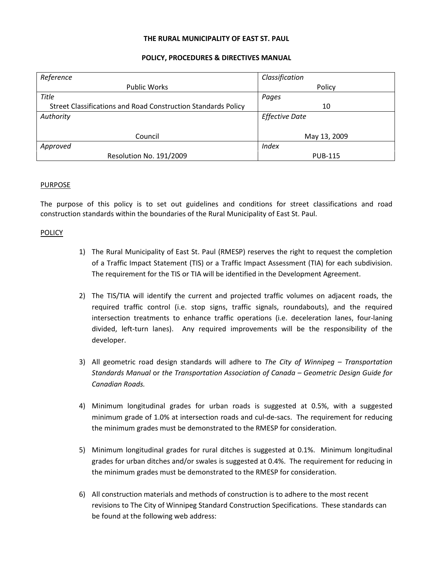### **THE RURAL MUNICIPALITY OF EAST ST. PAUL**

## **POLICY, PROCEDURES & DIRECTIVES MANUAL**

| Reference                                                     | Classification        |
|---------------------------------------------------------------|-----------------------|
| <b>Public Works</b>                                           | Policy                |
| <b>Title</b>                                                  | Pages                 |
| Street Classifications and Road Construction Standards Policy | 10                    |
| Authority                                                     | <b>Effective Date</b> |
|                                                               |                       |
| Council                                                       | May 13, 2009          |
| Approved                                                      | <b>Index</b>          |
| Resolution No. 191/2009                                       | <b>PUB-115</b>        |

### PURPOSE

The purpose of this policy is to set out guidelines and conditions for street classifications and road construction standards within the boundaries of the Rural Municipality of East St. Paul.

### POLICY

- 1) The Rural Municipality of East St. Paul (RMESP) reserves the right to request the completion of a Traffic Impact Statement (TIS) or a Traffic Impact Assessment (TIA) for each subdivision. The requirement for the TIS or TIA will be identified in the Development Agreement.
- 2) The TIS/TIA will identify the current and projected traffic volumes on adjacent roads, the required traffic control (i.e. stop signs, traffic signals, roundabouts), and the required intersection treatments to enhance traffic operations (i.e. deceleration lanes, four-laning divided, left-turn lanes). Any required improvements will be the responsibility of the developer.
- 3) All geometric road design standards will adhere to *The City of Winnipeg Transportation Standards Manual* or *the Transportation Association of Canada – Geometric Design Guide for Canadian Roads.*
- 4) Minimum longitudinal grades for urban roads is suggested at 0.5%, with a suggested minimum grade of 1.0% at intersection roads and cul-de-sacs. The requirement for reducing the minimum grades must be demonstrated to the RMESP for consideration.
- 5) Minimum longitudinal grades for rural ditches is suggested at 0.1%. Minimum longitudinal grades for urban ditches and/or swales is suggested at 0.4%. The requirement for reducing in the minimum grades must be demonstrated to the RMESP for consideration.
- 6) All construction materials and methods of construction is to adhere to the most recent revisions to The City of Winnipeg Standard Construction Specifications. These standards can be found at the following web address: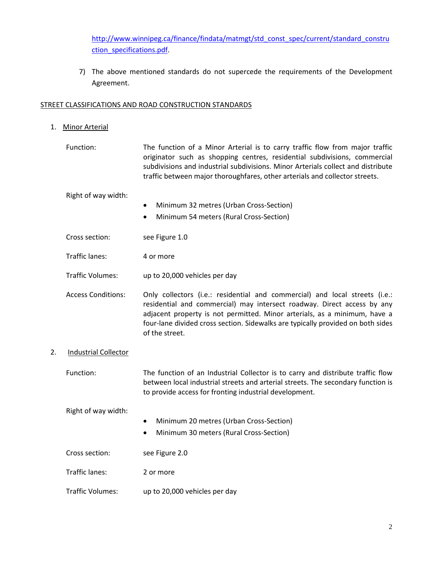[http://www.winnipeg.ca/finance/findata/matmgt/std\\_const\\_spec/current/standard\\_constru](http://www.winnipeg.ca/finance/findata/matmgt/std_const_spec/current/standard_construction_specifications.pdf) [ction\\_specifications.pdf.](http://www.winnipeg.ca/finance/findata/matmgt/std_const_spec/current/standard_construction_specifications.pdf)

7) The above mentioned standards do not supercede the requirements of the Development Agreement.

# STREET CLASSIFICATIONS AND ROAD CONSTRUCTION STANDARDS

- 1. Minor Arterial
	- Function: The function of a Minor Arterial is to carry traffic flow from major traffic originator such as shopping centres, residential subdivisions, commercial subdivisions and industrial subdivisions. Minor Arterials collect and distribute traffic between major thoroughfares, other arterials and collector streets.

Right of way width:

- Minimum 32 metres (Urban Cross-Section)
- Minimum 54 meters (Rural Cross-Section)
- Cross section: see Figure 1.0
- Traffic lanes: 4 or more
- Traffic Volumes: up to 20,000 vehicles per day
- Access Conditions: Only collectors (i.e.: residential and commercial) and local streets (i.e.: residential and commercial) may intersect roadway. Direct access by any adjacent property is not permitted. Minor arterials, as a minimum, have a four-lane divided cross section. Sidewalks are typically provided on both sides of the street.
- 2. Industrial Collector

Function: The function of an Industrial Collector is to carry and distribute traffic flow between local industrial streets and arterial streets. The secondary function is to provide access for fronting industrial development.

Right of way width:

- Minimum 20 metres (Urban Cross-Section)
- Minimum 30 meters (Rural Cross-Section)

Traffic lanes: 2 or more

Traffic Volumes: up to 20,000 vehicles per day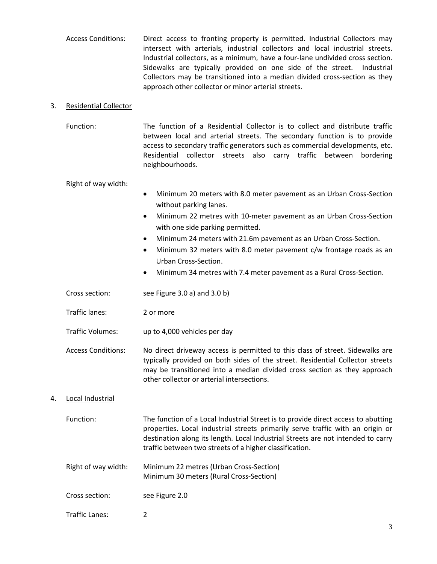Access Conditions: Direct access to fronting property is permitted. Industrial Collectors may intersect with arterials, industrial collectors and local industrial streets. Industrial collectors, as a minimum, have a four-lane undivided cross section. Sidewalks are typically provided on one side of the street. Industrial Collectors may be transitioned into a median divided cross-section as they approach other collector or minor arterial streets.

### 3. Residential Collector

Function: The function of a Residential Collector is to collect and distribute traffic between local and arterial streets. The secondary function is to provide access to secondary traffic generators such as commercial developments, etc. Residential collector streets also carry traffic between bordering neighbourhoods.

Right of way width:

- Minimum 20 meters with 8.0 meter pavement as an Urban Cross-Section without parking lanes.
- Minimum 22 metres with 10-meter pavement as an Urban Cross-Section with one side parking permitted.
- Minimum 24 meters with 21.6m pavement as an Urban Cross-Section.
- Minimum 32 meters with 8.0 meter pavement c/w frontage roads as an Urban Cross-Section.
- Minimum 34 metres with 7.4 meter pavement as a Rural Cross-Section.
- Cross section: see Figure 3.0 a) and 3.0 b)
- Traffic lanes: 2 or more
- Traffic Volumes: up to 4,000 vehicles per day
- Access Conditions: No direct driveway access is permitted to this class of street. Sidewalks are typically provided on both sides of the street. Residential Collector streets may be transitioned into a median divided cross section as they approach other collector or arterial intersections.

# 4. Local Industrial

- Function: The function of a Local Industrial Street is to provide direct access to abutting properties. Local industrial streets primarily serve traffic with an origin or destination along its length. Local Industrial Streets are not intended to carry traffic between two streets of a higher classification.
- Right of way width: Minimum 22 metres (Urban Cross-Section) Minimum 30 meters (Rural Cross-Section)
- Cross section: see Figure 2.0
- Traffic Lanes: 2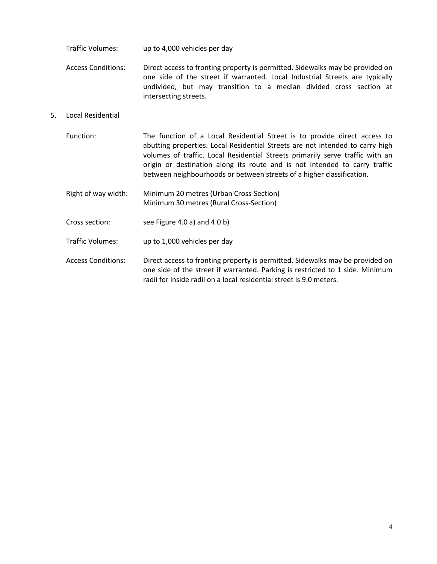Traffic Volumes: up to 4,000 vehicles per day

Access Conditions: Direct access to fronting property is permitted. Sidewalks may be provided on one side of the street if warranted. Local Industrial Streets are typically undivided, but may transition to a median divided cross section at intersecting streets.

## 5. Local Residential

- Function: The function of a Local Residential Street is to provide direct access to abutting properties. Local Residential Streets are not intended to carry high volumes of traffic. Local Residential Streets primarily serve traffic with an origin or destination along its route and is not intended to carry traffic between neighbourhoods or between streets of a higher classification.
- Right of way width: Minimum 20 metres (Urban Cross-Section) Minimum 30 metres (Rural Cross-Section)
- Cross section: see Figure 4.0 a) and 4.0 b)
- Traffic Volumes: up to 1,000 vehicles per day
- Access Conditions: Direct access to fronting property is permitted. Sidewalks may be provided on one side of the street if warranted. Parking is restricted to 1 side. Minimum radii for inside radii on a local residential street is 9.0 meters.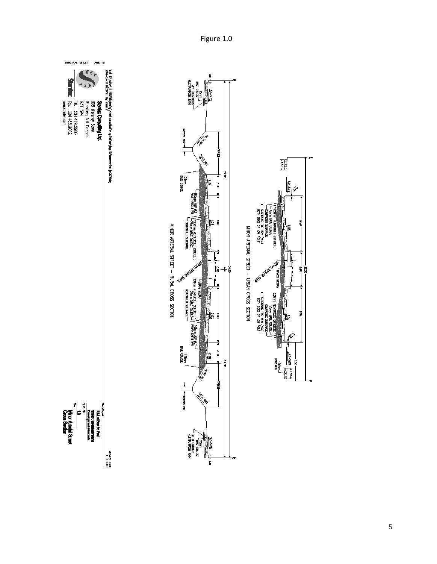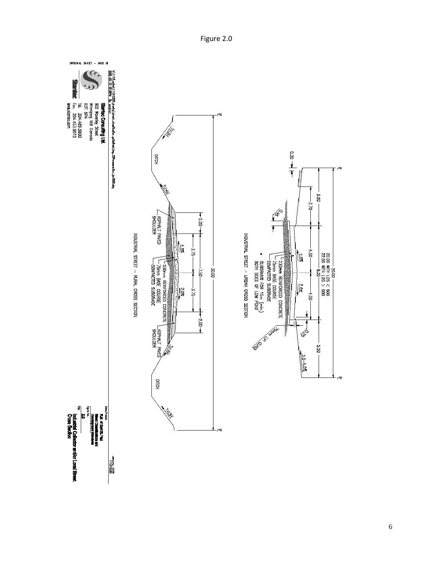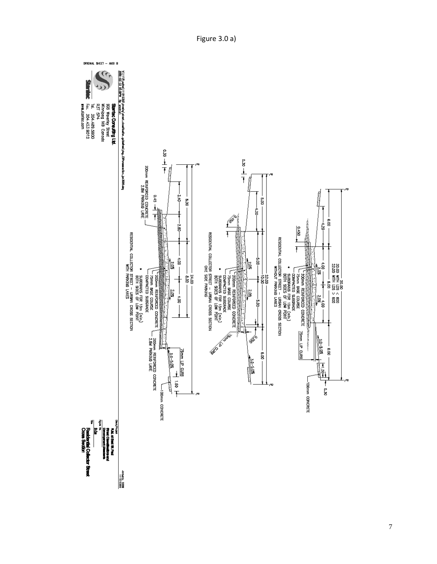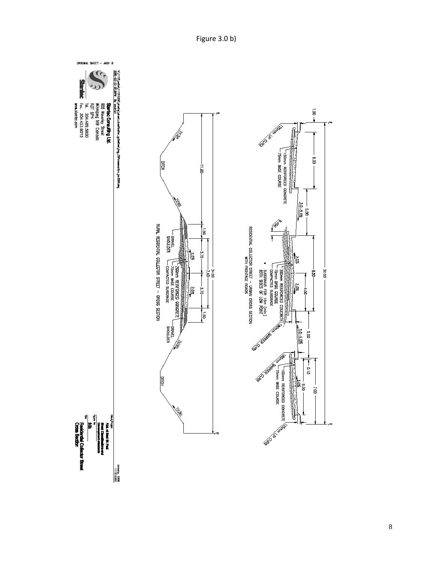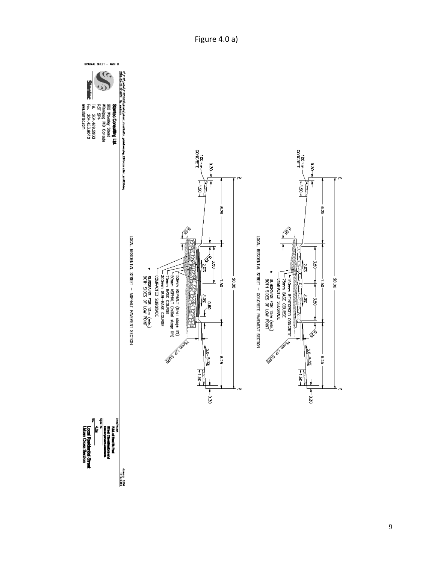